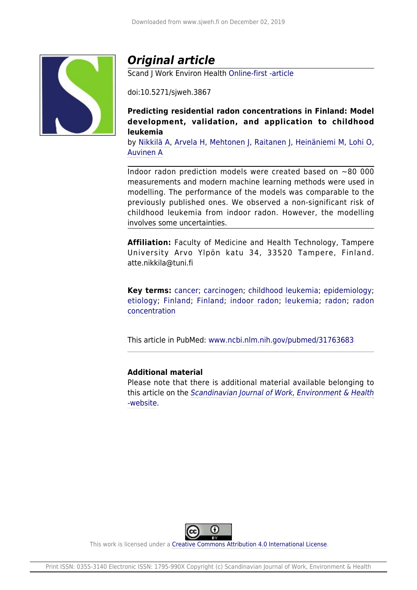

# *Original article*

Scand J Work Environ Health [Online-first -article](https://www.sjweh.fi/#box-onlinefirst)

doi:10.5271/sjweh.3867

**Predicting residential radon concentrations in Finland: Model development, validation, and application to childhood leukemia**

by [Nikkilä A,](https://www.sjweh.fi/index.php?page=list-articles&author_id=9990) [Arvela H,](https://www.sjweh.fi/index.php?page=list-articles&author_id=9991) [Mehtonen J,](https://www.sjweh.fi/index.php?page=list-articles&author_id=9992) [Raitanen J](https://www.sjweh.fi/index.php?page=list-articles&author_id=9993), [Heinäniemi M,](https://www.sjweh.fi/index.php?page=list-articles&author_id=9994) [Lohi O,](https://www.sjweh.fi/index.php?page=list-articles&author_id=9995) [Auvinen A](https://www.sjweh.fi/index.php?page=list-articles&author_id=2054)

Indoor radon prediction models were created based on  $\sim$ 80 000 measurements and modern machine learning methods were used in modelling. The performance of the models was comparable to the previously published ones. We observed a non-significant risk of childhood leukemia from indoor radon. However, the modelling involves some uncertainties.

**Affiliation:** Faculty of Medicine and Health Technology, Tampere University Arvo Ylpön katu 34, 33520 Tampere, Finland. atte.nikkila@tuni.fi

**Key terms:** [cancer](http://www.sjweh.fi/index.php?page=list-articles&keyword_id=164); [carcinogen](http://www.sjweh.fi/index.php?page=list-articles&keyword_id=362); [childhood leukemia;](http://www.sjweh.fi/index.php?page=list-articles&keyword_id=3984) [epidemiology;](http://www.sjweh.fi/index.php?page=list-articles&keyword_id=2) [etiology;](http://www.sjweh.fi/index.php?page=list-articles&keyword_id=3) [Finland](http://www.sjweh.fi/index.php?page=list-articles&keyword_id=1812); [Finland;](http://www.sjweh.fi/index.php?page=list-articles&keyword_id=2552) [indoor radon](http://www.sjweh.fi/index.php?page=list-articles&keyword_id=9274); [leukemia;](http://www.sjweh.fi/index.php?page=list-articles&keyword_id=385) [radon](http://www.sjweh.fi/index.php?page=list-articles&keyword_id=648); [radon](http://www.sjweh.fi/index.php?page=list-articles&keyword_id=3168) [concentration](http://www.sjweh.fi/index.php?page=list-articles&keyword_id=3168)

This article in PubMed: [www.ncbi.nlm.nih.gov/pubmed/31763683](http://www.ncbi.nlm.nih.gov/pubmed/31763683)

## **Additional material**

Please note that there is additional material available belonging to this article on the [Scandinavian Journal of Work, Environment & Health](http://www.sjweh.fi/data_repository.php) [-website](http://www.sjweh.fi/data_repository.php).



This work is licensed under a [Creative Commons Attribution 4.0 International License.](http://creativecommons.org/licenses/by/4.0/)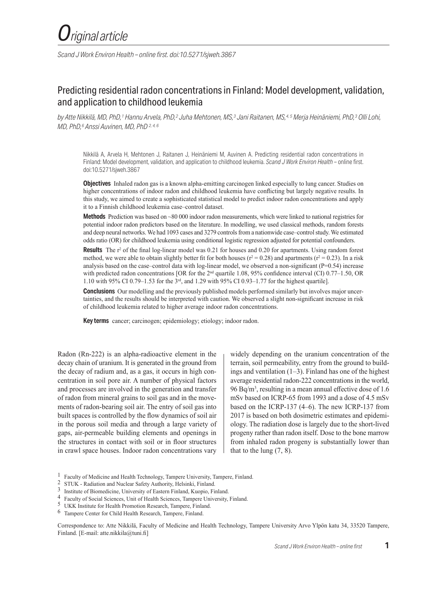*Scand J Work Environ Health – online first. doi:10.5271/sjweh.3867*

# Predicting residential radon concentrations in Finland: Model development, validation, and application to childhood leukemia

*by Atte Nikkilä, MD, PhD,1 Hannu Arvela, PhD,2 Juha Mehtonen, MS,3 Jani Raitanen, MS,4, 5 Merja Heinäniemi, PhD,3 Olli Lohi, MD, PhD,6 Anssi Auvinen, MD, PhD 2, 4, 6*

Nikkilä A, Arvela H, Mehtonen J, Raitanen J, Heinäniemi M, Auvinen A. Predicting residential radon concentrations in Finland: Model development, validation, and application to childhood leukemia. *Scand J Work Environ Health* – online first. doi:10.5271/sjweh.3867

**Objectives** Inhaled radon gas is a known alpha-emitting carcinogen linked especially to lung cancer. Studies on higher concentrations of indoor radon and childhood leukemia have conflicting but largely negative results. In this study, we aimed to create a sophisticated statistical model to predict indoor radon concentrations and apply it to a Finnish childhood leukemia case–control dataset.

**Methods** Prediction was based on ~80 000 indoor radon measurements, which were linked to national registries for potential indoor radon predictors based on the literature. In modelling, we used classical methods, random forests and deep neural networks. We had 1093 cases and 3279 controls from a nationwide case–control study. We estimated odds ratio (OR) for childhood leukemia using conditional logistic regression adjusted for potential confounders.

**Results** The r<sup>2</sup> of the final log-linear model was 0.21 for houses and 0.20 for apartments. Using random forest method, we were able to obtain slightly better fit for both houses ( $r^2 = 0.28$ ) and apartments ( $r^2 = 0.23$ ). In a risk analysis based on the case–control data with log-linear model, we observed a non-significant (P=0.54) increase with predicted radon concentrations [OR for the 2<sup>nd</sup> quartile 1.08, 95% confidence interval (CI) 0.77–1.50, OR 1.10 with 95% CI 0.79–1.53 for the 3rd, and 1.29 with 95% CI 0.93–1.77 for the highest quartile].

**Conclusions** Our modelling and the previously published models performed similarly but involves major uncertainties, and the results should be interpreted with caution. We observed a slight non-significant increase in risk of childhood leukemia related to higher average indoor radon concentrations.

**Key terms** cancer; carcinogen; epidemiology; etiology; indoor radon.

Radon (Rn-222) is an alpha-radioactive element in the decay chain of uranium. It is generated in the ground from the decay of radium and, as a gas, it occurs in high concentration in soil pore air. A number of physical factors and processes are involved in the generation and transfer of radon from mineral grains to soil gas and in the movements of radon-bearing soil air. The entry of soil gas into built spaces is controlled by the flow dynamics of soil air in the porous soil media and through a large variety of gaps, air-permeable building elements and openings in the structures in contact with soil or in floor structures in crawl space houses. Indoor radon concentrations vary

widely depending on the uranium concentration of the terrain, soil permeability, entry from the ground to buildings and ventilation  $(1-3)$ . Finland has one of the highest average residential radon-222 concentrations in the world, 96 Bq/m3 , resulting in a mean annual effective dose of 1.6 mSv based on ICRP-65 from 1993 and a dose of 4.5 mSv based on the ICRP-137 (4–6). The new ICRP-137 from 2017 is based on both dosimetric estimates and epidemiology. The radiation dose is largely due to the short-lived progeny rather than radon itself. Dose to the bone marrow from inhaled radon progeny is substantially lower than that to the lung  $(7, 8)$ .

Correspondence to: Atte Nikkilä, Faculty of Medicine and Health Technology, Tampere University Arvo Ylpön katu 34, 33520 Tampere, Finland. [E-mail: atte.nikkila@tuni.fi]

<sup>1</sup> Faculty of Medicine and Health Technology, Tampere University, Tampere, Finland.

<sup>2</sup> STUK - Radiation and Nuclear Safety Authority, Helsinki, Finland.

<sup>3</sup> Institute of Biomedicine, University of Eastern Finland, Kuopio, Finland.

<sup>4</sup> Faculty of Social Sciences, Unit of Health Sciences, Tampere University, Finland.

<sup>5</sup> UKK Institute for Health Promotion Research, Tampere, Finland.

<sup>6</sup> Tampere Center for Child Health Research, Tampere, Finland.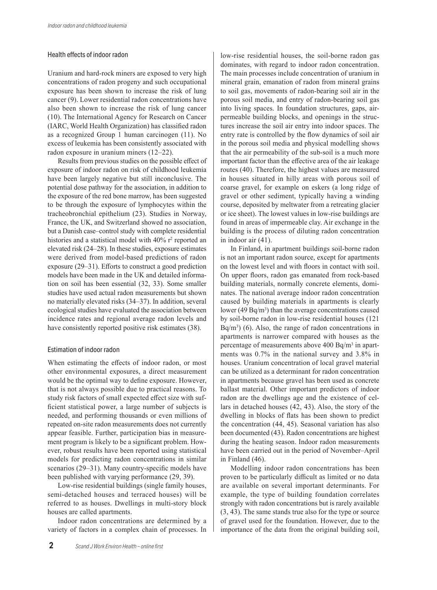## Health effects of indoor radon

Uranium and hard-rock miners are exposed to very high concentrations of radon progeny and such occupational exposure has been shown to increase the risk of lung cancer (9). Lower residential radon concentrations have also been shown to increase the risk of lung cancer (10). The International Agency for Research on Cancer (IARC, World Health Organization) has classified radon as a recognized Group 1 human carcinogen (11). No excess of leukemia has been consistently associated with radon exposure in uranium miners (12–22).

Results from previous studies on the possible effect of exposure of indoor radon on risk of childhood leukemia have been largely negative but still inconclusive. The potential dose pathway for the association, in addition to the exposure of the red bone marrow, has been suggested to be through the exposure of lymphocytes within the tracheobronchial epithelium (23). Studies in Norway, France, the UK, and Switzerland showed no association, but a Danish case–control study with complete residential histories and a statistical model with 40% r<sup>2</sup> reported an elevated risk (24–28). In these studies, exposure estimates were derived from model-based predictions of radon exposure (29–31). Efforts to construct a good prediction models have been made in the UK and detailed information on soil has been essential (32, 33). Some smaller studies have used actual radon measurements but shown no materially elevated risks (34–37). In addition, several ecological studies have evaluated the association between incidence rates and regional average radon levels and have consistently reported positive risk estimates (38).

## Estimation of indoor radon

When estimating the effects of indoor radon, or most other environmental exposures, a direct measurement would be the optimal way to define exposure. However, that is not always possible due to practical reasons. To study risk factors of small expected effect size with sufficient statistical power, a large number of subjects is needed, and performing thousands or even millions of repeated on-site radon measurements does not currently appear feasible. Further, participation bias in measurement program is likely to be a significant problem. However, robust results have been reported using statistical models for predicting radon concentrations in similar scenarios (29–31). Many country-specific models have been published with varying performance (29, 39).

Low-rise residential buildings (single family houses, semi-detached houses and terraced houses) will be referred to as houses. Dwellings in multi-story block houses are called apartments.

Indoor radon concentrations are determined by a variety of factors in a complex chain of processes. In

low-rise residential houses, the soil-borne radon gas dominates, with regard to indoor radon concentration. The main processes include concentration of uranium in mineral grain, emanation of radon from mineral grains to soil gas, movements of radon-bearing soil air in the porous soil media, and entry of radon-bearing soil gas into living spaces. In foundation structures, gaps, airpermeable building blocks, and openings in the structures increase the soil air entry into indoor spaces. The entry rate is controlled by the flow dynamics of soil air in the porous soil media and physical modelling shows that the air permeability of the sub-soil is a much more important factor than the effective area of the air leakage routes (40). Therefore, the highest values are measured in houses situated in hilly areas with porous soil of coarse gravel, for example on eskers (a long ridge of gravel or other sediment, typically having a winding course, deposited by meltwater from a retreating glacier or ice sheet). The lowest values in low-rise buildings are found in areas of impermeable clay. Air exchange in the building is the process of diluting radon concentration in indoor air (41).

In Finland, in apartment buildings soil-borne radon is not an important radon source, except for apartments on the lowest level and with floors in contact with soil. On upper floors, radon gas emanated from rock-based building materials, normally concrete elements, dominates. The national average indoor radon concentration caused by building materials in apartments is clearly lower (49  $\text{Bq/m}^3$ ) than the average concentrations caused by soil-borne radon in low-rise residential houses (121  $Bq/m<sup>3</sup>$  (6). Also, the range of radon concentrations in apartments is narrower compared with houses as the percentage of measurements above 400 Bq/m3 in apartments was 0.7% in the national survey and 3.8% in houses. Uranium concentration of local gravel material can be utilized as a determinant for radon concentration in apartments because gravel has been used as concrete ballast material. Other important predictors of indoor radon are the dwellings age and the existence of cellars in detached houses (42, 43). Also, the story of the dwelling in blocks of flats has been shown to predict the concentration (44, 45). Seasonal variation has also been documented (43). Radon concentrations are highest during the heating season. Indoor radon measurements have been carried out in the period of November–April in Finland (46).

Modelling indoor radon concentrations has been proven to be particularly difficult as limited or no data are available on several important determinants. For example, the type of building foundation correlates strongly with radon concentrations but is rarely available (3, 43). The same stands true also for the type or source of gravel used for the foundation. However, due to the importance of the data from the original building soil,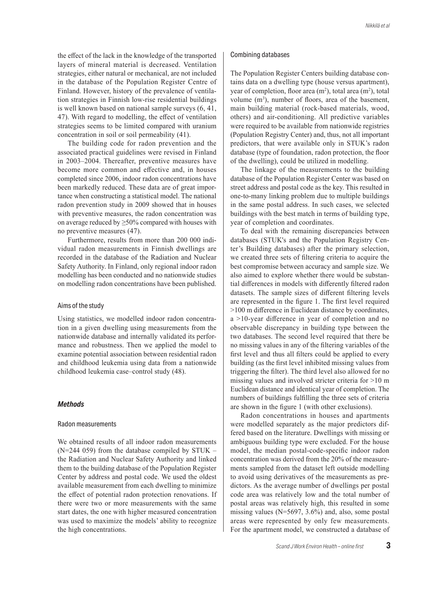the effect of the lack in the knowledge of the transported layers of mineral material is decreased. Ventilation strategies, either natural or mechanical, are not included in the database of the Population Register Centre of Finland. However, history of the prevalence of ventilation strategies in Finnish low-rise residential buildings is well known based on national sample surveys (6, 41, 47). With regard to modelling, the effect of ventilation strategies seems to be limited compared with uranium concentration in soil or soil permeability (41).

The building code for radon prevention and the associated practical guidelines were revised in Finland in 2003–2004. Thereafter, preventive measures have become more common and effective and, in houses completed since 2006, indoor radon concentrations have been markedly reduced. These data are of great importance when constructing a statistical model. The national radon prevention study in 2009 showed that in houses with preventive measures, the radon concentration was on average reduced by ≥50% compared with houses with no preventive measures (47).

Furthermore, results from more than 200 000 individual radon measurements in Finnish dwellings are recorded in the database of the Radiation and Nuclear Safety Authority. In Finland, only regional indoor radon modelling has been conducted and no nationwide studies on modelling radon concentrations have been published.

#### Aims of the study

Using statistics, we modelled indoor radon concentration in a given dwelling using measurements from the nationwide database and internally validated its performance and robustness. Then we applied the model to examine potential association between residential radon and childhood leukemia using data from a nationwide childhood leukemia case–control study (48).

## *Methods*

#### Radon measurements

We obtained results of all indoor radon measurements (N=244 059) from the database compiled by STUK – the Radiation and Nuclear Safety Authority and linked them to the building database of the Population Register Center by address and postal code. We used the oldest available measurement from each dwelling to minimize the effect of potential radon protection renovations. If there were two or more measurements with the same start dates, the one with higher measured concentration was used to maximize the models' ability to recognize the high concentrations.

#### Combining databases

The Population Register Centers building database contains data on a dwelling type (house versus apartment), year of completion, floor area (m<sup>2</sup>), total area (m<sup>2</sup>), total volume  $(m^3)$ , number of floors, area of the basement, main building material (rock-based materials, wood, others) and air-conditioning. All predictive variables were required to be available from nationwide registries (Population Registry Center) and, thus, not all important predictors, that were available only in STUK's radon database (type of foundation, radon protection, the floor of the dwelling), could be utilized in modelling.

The linkage of the measurements to the building database of the Population Register Center was based on street address and postal code as the key. This resulted in one-to-many linking problem due to multiple buildings in the same postal address. In such cases, we selected buildings with the best match in terms of building type, year of completion and coordinates.

To deal with the remaining discrepancies between databases (STUK's and the Population Registry Center's Building databases) after the primary selection, we created three sets of filtering criteria to acquire the best compromise between accuracy and sample size. We also aimed to explore whether there would be substantial differences in models with differently filtered radon datasets. The sample sizes of different filtering levels are represented in the figure 1. The first level required >100 m difference in Euclidean distance by coordinates, a >10-year difference in year of completion and no observable discrepancy in building type between the two databases. The second level required that there be no missing values in any of the filtering variables of the first level and thus all filters could be applied to every building (as the first level inhibited missing values from triggering the filter). The third level also allowed for no missing values and involved stricter criteria for >10 m Euclidean distance and identical year of completion. The numbers of buildings fulfilling the three sets of criteria are shown in the figure 1 (with other exclusions).

Radon concentrations in houses and apartments were modelled separately as the major predictors differed based on the literature. Dwellings with missing or ambiguous building type were excluded. For the house model, the median postal-code-specific indoor radon concentration was derived from the 20% of the measurements sampled from the dataset left outside modelling to avoid using derivatives of the measurements as predictors. As the average number of dwellings per postal code area was relatively low and the total number of postal areas was relatively high, this resulted in some missing values (N=5697, 3.6%) and, also, some postal areas were represented by only few measurements. For the apartment model, we constructed a database of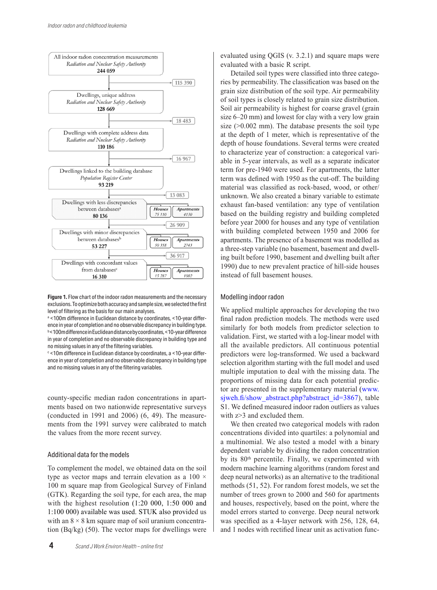

To optimize both accuracy and sample size, we decided on selecting the first level of filtering as the Figure 1. Flow chart of the indoor radon measurements and the necessary exclusions. To optimize both accuracy and sample size, we selected the first  $\parallel$ level of filtering as the basis for our main analyses.

<sup>a</sup> <100m difference in Euclidean distance by coordinates, <10-year differ-  $\parallel$  final radon ence in year of completion and no observable discrepancy in building type.  $\parallel$  similarly b<100m difference in Euclidean distance by coordinates, <10-year difference in year of completion and no observable discrepancy in building type and  $\parallel$  valies no missing values in any of the filtering variables. and no missing values in any of the filtering variables.

<sup>c</sup> in all same values in any of the intering valuables.<br>
<sup>c</sup> <10m difference in Euclidean distance by coordinates, a <10-year difference in year of completion and no observable discrepancy in building type and no missing values in any of the filtering variables.

county-specific median radon concentrations in apartments based on two nationwide representative surveys (conducted in 1991 and 2006) (6, 49). The measurements from the 1991 survey were calibrated to match the values from the more recent survey.

#### Additional data for the models

To complement the model, we obtained data on the soil type as vector maps and terrain elevation as a  $100 \times$ 100 m square map from Geological Survey of Finland (GTK). Regarding the soil type, for each area, the map with the highest resolution (1:20 000, 1:50 000 and 1:100 000) available was used. STUK also provided us with an  $8 \times 8$  km square map of soil uranium concentration (Bq/kg) (50). The vector maps for dwellings were

**4** *Scand J Work Environ Health – online first*

evaluated using QGIS (v. 3.2.1) and square maps were evaluated with a basic R script.

Detailed soil types were classified into three categories by permeability. The classification was based on the grain size distribution of the soil type. Air permeability of soil types is closely related to grain size distribution. Soil air permeability is highest for coarse gravel (grain size 6–20 mm) and lowest for clay with a very low grain size  $(>0.002$  mm). The database presents the soil type at the depth of 1 meter, which is representative of the depth of house foundations. Several terms were created to characterize year of construction: a categorical variable in 5-year intervals, as well as a separate indicator term for pre-1940 were used. For apartments, the latter term was defined with 1950 as the cut-off. The building material was classified as rock-based, wood, or other/ unknown. We also created a binary variable to estimate exhaust fan-based ventilation: any type of ventilation based on the building registry and building completed before year 2000 for houses and any type of ventilation with building completed between 1950 and 2006 for apartments. The presence of a basement was modelled as a three-step variable (no basement, basement and dwelling built before 1990, basement and dwelling built after 1990) due to new prevalent practice of hill-side houses instead of full basement houses.

#### Modelling indoor radon

We applied multiple approaches for developing the two final radon prediction models. The methods were used similarly for both models from predictor selection to validation. First, we started with a log-linear model with all the available predictors. All continuous potential predictors were log-transformed. We used a backward selection algorithm starting with the full model and used multiple imputation to deal with the missing data. The proportions of missing data for each potential predictor are presented in the supplementary material (www. sjweh.fi/show\_abstract.php?abstract\_id=3867), table S1. We defined measured indoor radon outliers as values with z>3 and excluded them.

We then created two categorical models with radon concentrations divided into quartiles: a polynomial and a multinomial. We also tested a model with a binary dependent variable by dividing the radon concentration by its 80<sup>th</sup> percentile. Finally, we experimented with modern machine learning algorithms (random forest and deep neural networks) as an alternative to the traditional methods (51, 52). For random forest models, we set the number of trees grown to 2000 and 560 for apartments and houses, respectively, based on the point, where the model errors started to converge. Deep neural network was specified as a 4-layer network with 256, 128, 64, and 1 nodes with rectified linear unit as activation func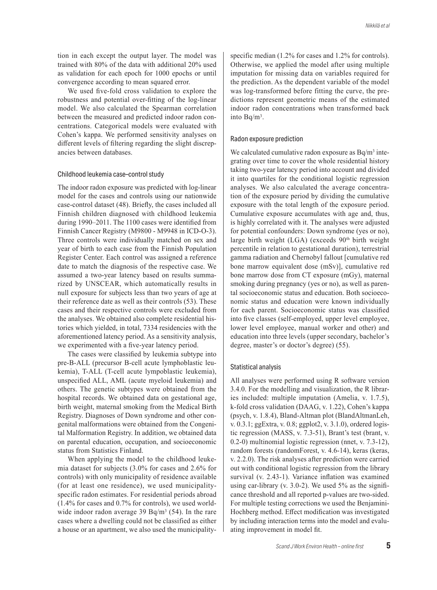tion in each except the output layer. The model was trained with 80% of the data with additional 20% used as validation for each epoch for 1000 epochs or until convergence according to mean squared error.

We used five-fold cross validation to explore the robustness and potential over-fitting of the log-linear model. We also calculated the Spearman correlation between the measured and predicted indoor radon concentrations. Categorical models were evaluated with Cohen's kappa. We performed sensitivity analyses on different levels of filtering regarding the slight discrepancies between databases.

#### Childhood leukemia case–control study

The indoor radon exposure was predicted with log-linear model for the cases and controls using our nationwide case-control dataset (48). Briefly, the cases included all Finnish children diagnosed with childhood leukemia during 1990–2011. The 1100 cases were identified from Finnish Cancer Registry (M9800 - M9948 in ICD-O-3). Three controls were individually matched on sex and year of birth to each case from the Finnish Population Register Center. Each control was assigned a reference date to match the diagnosis of the respective case. We assumed a two-year latency based on results summarized by UNSCEAR, which automatically results in null exposure for subjects less than two years of age at their reference date as well as their controls (53). These cases and their respective controls were excluded from the analyses. We obtained also complete residential histories which yielded, in total, 7334 residencies with the aforementioned latency period. As a sensitivity analysis, we experimented with a five-year latency period.

The cases were classified by leukemia subtype into pre-B-ALL (precursor B-cell acute lymphoblastic leukemia), T-ALL (T-cell acute lympoblastic leukemia), unspecified ALL, AML (acute myeloid leukemia) and others. The genetic subtypes were obtained from the hospital records. We obtained data on gestational age, birth weight, maternal smoking from the Medical Birth Registry. Diagnoses of Down syndrome and other congenital malformations were obtained from the Congenital Malformation Registry. In addition, we obtained data on parental education, occupation, and socioeconomic status from Statistics Finland.

When applying the model to the childhood leukemia dataset for subjects (3.0% for cases and 2.6% for controls) with only municipality of residence available (for at least one residence), we used municipalityspecific radon estimates. For residential periods abroad (1.4% for cases and 0.7% for controls), we used worldwide indoor radon average 39 Bq/m<sup>3</sup> (54). In the rare cases where a dwelling could not be classified as either a house or an apartment, we also used the municipalityspecific median (1.2% for cases and 1.2% for controls). Otherwise, we applied the model after using multiple imputation for missing data on variables required for the prediction. As the dependent variable of the model was log-transformed before fitting the curve, the predictions represent geometric means of the estimated indoor radon concentrations when transformed back into Bq/m3.

#### Radon exposure prediction

We calculated cumulative radon exposure as  $Bq/m<sup>3</sup>$  integrating over time to cover the whole residential history taking two-year latency period into account and divided it into quartiles for the conditional logistic regression analyses. We also calculated the average concentration of the exposure period by dividing the cumulative exposure with the total length of the exposure period. Cumulative exposure accumulates with age and, thus, is highly correlated with it. The analyses were adjusted for potential confounders: Down syndrome (yes or no), large birth weight  $(LGA)$  (exceeds  $90<sup>th</sup>$  birth weight percentile in relation to gestational duration), terrestrial gamma radiation and Chernobyl fallout [cumulative red bone marrow equivalent dose (mSv)], cumulative red bone marrow dose from CT exposure (mGy), maternal smoking during pregnancy (yes or no), as well as parental socioeconomic status and education. Both socioeconomic status and education were known individually for each parent. Socioeconomic status was classified into five classes (self-employed, upper level employee, lower level employee, manual worker and other) and education into three levels (upper secondary, bachelor's degree, master's or doctor's degree) (55).

#### Statistical analysis

All analyses were performed using R software version 3.4.0. For the modelling and visualization, the R libraries included: multiple imputation (Amelia, v. 1.7.5), k-fold cross validation (DAAG, v. 1.22), Cohen's kappa (psych, v. 1.8.4), Bland-Altman plot (BlandAltmanLeh, v. 0.3.1; ggExtra, v. 0.8; ggplot2, v. 3.1.0), ordered logistic regression (MASS, v. 7.3-51), Brant's test (brant, v. 0.2-0) multinomial logistic regression (nnet, v. 7.3-12), random forests (randomForest, v. 4.6-14), keras (keras, v. 2.2.0). The risk analyses after prediction were carried out with conditional logistic regression from the library survival (v. 2.43-1). Variance inflation was examined using car-library (v.  $3.0-2$ ). We used  $5\%$  as the significance threshold and all reported p-values are two-sided. For multiple testing corrections we used the Benjamini-Hochberg method. Effect modification was investigated by including interaction terms into the model and evaluating improvement in model fit.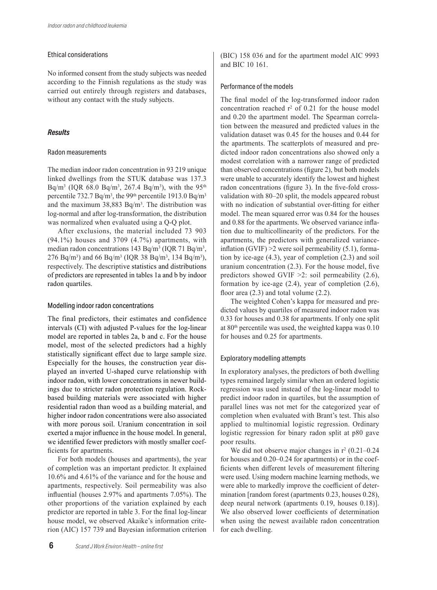## Ethical considerations

No informed consent from the study subjects was needed according to the Finnish regulations as the study was carried out entirely through registers and databases, without any contact with the study subjects.

## *Results*

## Radon measurements

The median indoor radon concentration in 93 219 unique linked dwellings from the STUK database was 137.3 Bq/m<sup>3</sup> (IQR 68.0 Bq/m<sup>3</sup>, 267.4 Bq/m<sup>3</sup>), with the 95<sup>th</sup> percentile 732.7 Bq/m<sup>3</sup>, the 99<sup>th</sup> percentile 1913.0 Bq/m<sup>3</sup> and the maximum 38,883 Bq/m3. The distribution was log-normal and after log-transformation, the distribution was normalized when evaluated using a Q-Q plot.

After exclusions, the material included 73 903  $(94.1\%)$  houses and 3709  $(4.7\%)$  apartments, with median radon concentrations 143 Bq/m<sup>3</sup> (IQR 71 Bq/m<sup>3</sup>, 276 Bq/m<sup>3</sup>) and 66 Bq/m<sup>3</sup> (IQR 38 Bq/m<sup>3</sup>, 134 Bq/m<sup>3</sup>), respectively. The descriptive statistics and distributions of predictors are represented in tables 1a and b by indoor radon quartiles.

## Modelling indoor radon concentrations

The final predictors, their estimates and confidence intervals (CI) with adjusted P-values for the log-linear model are reported in tables 2a, b and c. For the house model, most of the selected predictors had a highly statistically significant effect due to large sample size. Especially for the houses, the construction year displayed an inverted U-shaped curve relationship with indoor radon, with lower concentrations in newer buildings due to stricter radon protection regulation. Rockbased building materials were associated with higher residential radon than wood as a building material, and higher indoor radon concentrations were also associated with more porous soil. Uranium concentration in soil exerted a major influence in the house model. In general, we identified fewer predictors with mostly smaller coefficients for apartments.

For both models (houses and apartments), the year of completion was an important predictor. It explained 10.6% and 4.61% of the variance and for the house and apartments, respectively. Soil permeability was also influential (houses 2.97% and apartments 7.05%). The other proportions of the variation explained by each predictor are reported in table 3. For the final log-linear house model, we observed Akaike's information criterion (AIC) 157 739 and Bayesian information criterion

(BIC) 158 036 and for the apartment model AIC 9993 and BIC 10 161.

## Performance of the models

The final model of the log-transformed indoor radon concentration reached  $r^2$  of 0.21 for the house model and 0.20 the apartment model. The Spearman correlation between the measured and predicted values in the validation dataset was 0.45 for the houses and 0.44 for the apartments. The scatterplots of measured and predicted indoor radon concentrations also showed only a modest correlation with a narrower range of predicted than observed concentrations (figure 2), but both models were unable to accurately identify the lowest and highest radon concentrations (figure 3). In the five-fold crossvalidation with 80–20 split, the models appeared robust with no indication of substantial over-fitting for either model. The mean squared error was 0.84 for the houses and 0.88 for the apartments. We observed variance inflation due to multicollinearity of the predictors. For the apartments, the predictors with generalized varianceinflation  $(GVIF) > 2$  were soil permeability (5.1), formation by ice-age (4.3), year of completion (2.3) and soil uranium concentration (2.3). For the house model, five predictors showed GVIF >2: soil permeability (2.6), formation by ice-age (2.4), year of completion (2.6), floor area (2.3) and total volume (2.2).

The weighted Cohen's kappa for measured and predicted values by quartiles of measured indoor radon was 0.33 for houses and 0.38 for apartments. If only one split at 80<sup>th</sup> percentile was used, the weighted kappa was 0.10 for houses and 0.25 for apartments.

## Exploratory modelling attempts

In exploratory analyses, the predictors of both dwelling types remained largely similar when an ordered logistic regression was used instead of the log-linear model to predict indoor radon in quartiles, but the assumption of parallel lines was not met for the categorized year of completion when evaluated with Brant's test. This also applied to multinomial logistic regression. Ordinary logistic regression for binary radon split at p80 gave poor results.

We did not observe major changes in  $r^2$  (0.21–0.24) for houses and 0.20–0.24 for apartments) or in the coefficients when different levels of measurement filtering were used. Using modern machine learning methods, we were able to markedly improve the coefficient of determination [random forest (apartments 0.23, houses 0.28), deep neural network (apartments 0.19, houses 0.18)]. We also observed lower coefficients of determination when using the newest available radon concentration for each dwelling.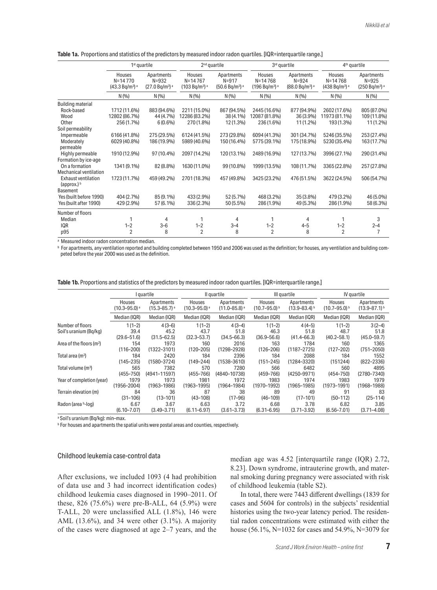| Table 1a. Proportions and statistics of the predictors by measured indoor radon quartiles. [IQR=interquartile range.] |
|-----------------------------------------------------------------------------------------------------------------------|
|-----------------------------------------------------------------------------------------------------------------------|

|                                                                          |                                                                 | $1st$ quartile                                         | $2nd$ quartile                                       |                                                                   | 3rd quartile                                                   |                                                                   | 4 <sup>th</sup> quartile                                       |                                                                  |
|--------------------------------------------------------------------------|-----------------------------------------------------------------|--------------------------------------------------------|------------------------------------------------------|-------------------------------------------------------------------|----------------------------------------------------------------|-------------------------------------------------------------------|----------------------------------------------------------------|------------------------------------------------------------------|
|                                                                          | Houses<br>$N = 14770$<br>(43.3 Bq/m <sup>3</sup> ) <sup>a</sup> | Apartments<br>$N = 932$<br>$(27.0 Bq/m3)$ <sup>a</sup> | Houses<br>$N = 14767$<br>$(103 Bq/m^3)$ <sup>a</sup> | Apartments<br>$N = 917$<br>(50.6 Bq/m <sup>3</sup> ) <sup>a</sup> | Houses<br>$N = 14768$<br>(196 Bq/m <sup>3</sup> ) <sup>a</sup> | Apartments<br>$N = 924$<br>(88.0 Bq/m <sup>3</sup> ) <sup>a</sup> | Houses<br>$N = 14768$<br>(438 Bq/m <sup>3</sup> ) <sup>a</sup> | Apartments<br>$N = 925$<br>(250 Bq/m <sup>3</sup> ) <sup>a</sup> |
|                                                                          | N(%)                                                            | N(9/6)                                                 | N(96)                                                | N(96)                                                             | N(9/6)                                                         | N(%)                                                              | N(9/6)                                                         | N(%)                                                             |
| <b>Building material</b>                                                 |                                                                 |                                                        |                                                      |                                                                   |                                                                |                                                                   |                                                                |                                                                  |
| Rock-based<br>Wood<br>Other                                              | 1712 (11.6%)<br>12802 (86.7%)<br>256 (1.7%)                     | 883 (94.6%)<br>44 (4.7%)<br>$6(0.6\%)$                 | 2211 (15.0%)<br>12286 (83.2%)<br>270 (1.8%)          | 867 (94.5%)<br>38 (4.1%)<br>12 (1.3%)                             | 2445 (16.6%)<br>12087 (81.8%)<br>236 (1.6%)                    | 877 (94.9%)<br>36 (3.9%)<br>11 (1.2%)                             | 2602 (17.6%)<br>11973 (81.1%)<br>193 (1.3%)                    | 805 (87.0%)<br>109 (11.8%)<br>11 (1.2%)                          |
| Soil permeability                                                        |                                                                 |                                                        |                                                      |                                                                   |                                                                |                                                                   |                                                                |                                                                  |
| Impermeable<br>Moderately<br>permeable                                   | 6166 (41.8%)<br>6029 (40.8%)                                    | 275 (29.5%)<br>186 (19.9%)                             | 6124 (41.5%)<br>5989 (40.6%)                         | 273 (29.8%)<br>150 (16.4%)                                        | 6094 (41.3%)<br>5775 (39.1%)                                   | 301 (34.7%)<br>175 (18.9%)                                        | 5246 (35.5%)<br>5230 (35.4%)                                   | 253 (27.4%)<br>163 (17.7%)                                       |
| Highly permeable<br>Formation by ice-age                                 | 1910 (12.9%)                                                    | 97 (10.4%)                                             | 2097 (14.2%)                                         | 120 (13.1%)                                                       | 2489 (16.9%)                                                   | 127 (13.7%)                                                       | 3996 (27.1%)                                                   | 290 (31.4%)                                                      |
| On a formation<br><b>Mechanical ventilation</b>                          | 1341 (9.1%)                                                     | 82 (8.8%)                                              | 1630 (11.0%)                                         | 99 (10.8%)                                                        | 1999 (13.5%)                                                   | 108 (11.7%)                                                       | 3365 (22.8%)                                                   | 257 (27.8%)                                                      |
| <b>Exhaust ventilation</b><br>(approx.) $\frac{b}{b}$<br><b>Basement</b> | 1723 (11.7%)                                                    | 459 (49.2%)                                            | 2701 (18.3%)                                         | 457 (49.8%)                                                       | 3425 (23.2%)                                                   | 476 (51.5%)                                                       | 3622 (24.5%)                                                   | 506 (54.7%)                                                      |
| Yes (built before 1990)<br>Yes (built after 1990)                        | 404 (2.7%)<br>429 (2.9%)                                        | 85 (9.1%)<br>57 (6.1%)                                 | 433 (2.9%)<br>336 (2.3%)                             | 52 (5.7%)<br>50 (5.5%)                                            | 468 (3.2%)<br>286 (1.9%)                                       | 35 (3.8%)<br>49 (5.3%)                                            | 479 (3.2%)<br>286 (1.9%)                                       | 46 (5.0%)<br>58 (6.3%)                                           |
| Number of floors                                                         |                                                                 |                                                        |                                                      |                                                                   |                                                                |                                                                   |                                                                |                                                                  |
| Median                                                                   | 1                                                               | 4                                                      | 1                                                    | 4                                                                 |                                                                | 4                                                                 |                                                                | 3                                                                |
| <b>IQR</b><br>p95                                                        | $1 - 2$<br>$\overline{2}$                                       | $3 - 6$<br>8                                           | $1 - 2$<br>$\overline{2}$                            | $3 - 4$<br>8                                                      | $1 - 2$<br>$\overline{2}$                                      | $4 - 5$<br>8                                                      | $1 - 2$<br>$\overline{2}$                                      | $2 - 4$<br>$\overline{7}$                                        |

a Measured indoor radon concentration median.

 $^{\rm b}$  For apartments, any ventilation reported and building completed between 1950 and 2006 was used as the definition; for houses, any ventilation and building competed before the year 2000 was used as the definition.

Table 1b. Proportions and statistics of the predictors by measured indoor radon quartiles. [IQR=interquartile range.]

|                                      |                              | I quartile                   |                              | Il quartile                  |                     | III quartile      |                     | IV quartile         |
|--------------------------------------|------------------------------|------------------------------|------------------------------|------------------------------|---------------------|-------------------|---------------------|---------------------|
|                                      | Houses                       | Apartments                   | Houses                       | Apartments                   | Houses              | Apartments        | Houses              | Apartments          |
|                                      | $(10.3 - 95.0)$ <sup>a</sup> | $(15.3 - 85.7)$ <sup>a</sup> | $(10.3 - 95.0)$ <sup>a</sup> | $(11.0 - 85.8)$ <sup>a</sup> | $(10.7 - 95.0)^{b}$ | $(13.9 - 83.4)$ b | $(10.7 - 95.0)^{b}$ | $(13.9 - 87.1)^{h}$ |
|                                      | Median (IQR)                 | Median (IQR)                 | Median (IQR)                 | Median (IQR)                 | Median (IQR)        | Median (IQR)      | Median (IQR)        | Median (IQR)        |
| Number of floors                     | $1(1-2)$                     | $4(3-6)$                     | $1(1-2)$                     | $4(3-4)$                     | $1(1-2)$            | $4(4-5)$          | $1(1-2)$            | $3(2-4)$            |
| Soil's uranium (Bg/kg)               | 39.4                         | 45.2                         | 43.7                         | 51.8                         | 46.3                | 51.8              | 48.7                | 51.8                |
|                                      | $(29.6 - 51.6)$              | $(31.5 - 62.5)$              | $(32.3 - 53.7)$              | $(34.5 - 66.3)$              | $(36.9 - 56.6)$     | $(41.4 - 66.3)$   | $(40.2 - 58.1)$     | $(45.0 - 59.7)$     |
| Area of the floors (m <sup>2</sup> ) | 154                          | 1973                         | 160                          | 2016                         | 163                 | 1784              | 160                 | 1365                |
|                                      | $(116 - 200)$                | (1322–3101)                  | $(120 - 205)$                | (1298–2928)                  | $(126 - 206)$       | (1187–2725)       | $(127 - 202)$       | $(751 - 2050)$      |
| Total area (m <sup>2</sup> )         | 184                          | 2420                         | 184                          | 2396                         | 184                 | 2088              | 184                 | 1552                |
|                                      | $(145 - 235)$                | (1580–3724)                  | $(149 - 244)$                | (1538–3610)                  | $(151 - 245)$       | (1284–3320)       | (151244)            | $(822 - 2336)$      |
| Total volume (m <sup>3</sup> )       | 565                          | 7382                         | 570                          | 7280                         | 566                 | 6482              | 560                 | 4895                |
|                                      | $(455 - 750)$                | (4941–11597)                 | $(455 - 766)$                | (4840-10738)                 | $(459 - 766)$       | (4250–9971)       | $(454 - 750)$       | $(2780 - 7340)$     |
| Year of completion (year)            | 1979                         | 1973                         | 1981                         | 1972                         | 1983                | 1974              | 1983                | 1979                |
|                                      | (1956–2004)                  | (1963–1986)                  | (1963–1995)                  | $(1964 - 1984)$              | (1970–1992)         | (1965–1985)       | $(1973 - 1991)$     | $(1968 - 1988)$     |
| Terrain elevation (m)                | 84                           | 36                           | 87                           | 38                           | 89                  | 49                | 91                  | 83                  |
|                                      | $(31 - 106)$                 | $(13 - 101)$                 | $(43 - 108)$                 | $(17 - 96)$                  | $(46 - 109)$        | $(17 - 101)$      | $(50 - 112)$        | $(25 - 114)$        |
| Radon (area b-log)                   | 6.67                         | 3.67                         | 6.63                         | 3.72                         | 6.68                | 3.78              | 6.82                | 3.85                |
|                                      | $(6.10 - 7.07)$              | $(3.49 - 3.71)$              | $(6.11 - 6.97)$              | $(3.61 - 3.73)$              | $(6.31 - 6.95)$     | $(3.71 - 3.92)$   | $(6.56 - 7.01)$     | $(3.71 - 4.08)$     |

a Soil's uranium (Bq/kg): min–max.

b For houses and apartments the spatial units were postal areas and counties, respectively.

## Childhood leukemia case-control data

After exclusions, we included 1093 (4 had prohibition of data use and 3 had incorrect identification codes) childhood leukemia cases diagnosed in 1990–2011. Of these, 826 (75.6%) were pre-B-ALL, 64 (5.9%) were T-ALL, 20 were unclassified ALL (1.8%), 146 were AML (13.6%), and 34 were other (3.1%). A majority of the cases were diagnosed at age 2–7 years, and the median age was 4.52 [interquartile range (IQR) 2.72, 8.23]. Down syndrome, intrauterine growth, and maternal smoking during pregnancy were associated with risk of childhood leukemia (table S2).

In total, there were 7443 different dwellings (1839 for cases and 5604 for controls) in the subjects' residential histories using the two-year latency period. The residential radon concentrations were estimated with either the house (56.1%, N=1032 for cases and 54.9%, N=3079 for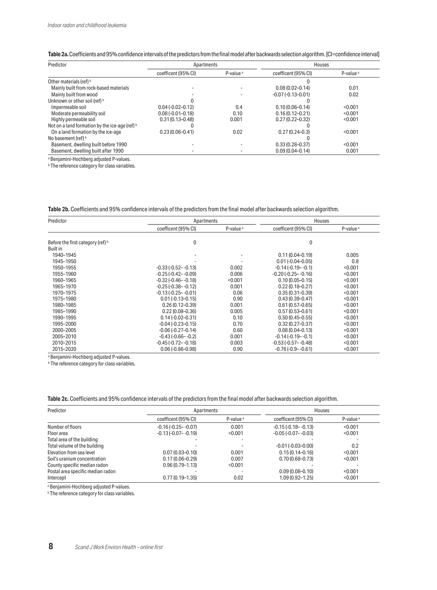|  | Table 2a. Coefficients and 95% confidence intervals of the predictors from the final model after backwards selection algorithm. [CI=confidence interval <sup>1</sup> |  |  |  |  |  |  |
|--|----------------------------------------------------------------------------------------------------------------------------------------------------------------------|--|--|--|--|--|--|
|--|----------------------------------------------------------------------------------------------------------------------------------------------------------------------|--|--|--|--|--|--|

| Predictor                                      | Apartments          |                      | Houses              |                      |
|------------------------------------------------|---------------------|----------------------|---------------------|----------------------|
|                                                | coefficent (95% CI) | P-value <sup>a</sup> | coefficent (95% CI) | P-value <sup>a</sup> |
| Other materials (ref) b                        |                     |                      |                     |                      |
| Mainly built from rock-based materials         |                     |                      | $0.08(0.02 - 0.14)$ | 0.01                 |
| Mainly built from wood                         |                     |                      | $-0.07(-0.13-0.01)$ | 0.02                 |
| Unknown or other soil (ref) b                  |                     |                      |                     |                      |
| Impermeable soil                               | $0.04(-0.02-0.12)$  | 0.4                  | $0.10(0.06 - 0.14)$ | < 0.001              |
| Moderate permeability soil                     | $0.08(-0.01-0.18)$  | 0.10                 | $0.16(0.12 - 0.21)$ | < 0.001              |
| Highly permeable soil                          | $0.31(0.13 - 0.48)$ | 0.001                | $0.27(0.22 - 0.32)$ | < 0.001              |
| Not on a land formation by the ice-age (ref) b |                     |                      |                     |                      |
| On a land formation by the ice-age             | $0.23(0.06 - 0.41)$ | 0.02                 | $0.27(0.24 - 0.3)$  | < 0.001              |
| No basement (ref) b                            |                     |                      |                     |                      |
| Basement, dwelling built before 1990           |                     |                      | $0.33(0.28 - 0.37)$ | < 0.001              |
| Basement, dwelling built after 1990            |                     |                      | $0.09(0.04 - 0.14)$ | 0.001                |

a Benjamini-Hochberg adjusted P-values. **b** The reference category for class variables.

**Table 2b.** Coefficients and 95% confidence intervals of the predictors from the final model after backwards selection algorithm.

| Predictor                         | Apartments                |                      | Houses                    |                      |  |
|-----------------------------------|---------------------------|----------------------|---------------------------|----------------------|--|
|                                   | coefficent (95% CI)       | P-value <sup>a</sup> | coefficent (95% CI)       | P-value <sup>a</sup> |  |
| Before the first category (ref) b | 0                         |                      | 0                         |                      |  |
| <b>Built in</b>                   |                           |                      |                           |                      |  |
| 1940-1945                         |                           | ٠                    | $0.11(0.04 - 0.19)$       | 0.005                |  |
| 1945-1950                         |                           |                      | $0.01(-0.04 - 0.05)$      | 0.8                  |  |
| 1950-1955                         | $-0.33(-0.52 - 0.13)$     | 0.002                | $-0.14(-0.19 - -0.1)$     | < 0.001              |  |
| 1955-1960                         | $-0.25(-0.42 - 0.09)$     | 0.006                | $-0.20$ $(-0.25 - -0.16)$ | < 0.001              |  |
| 1960-1965                         | $-0.32$ $(-0.46 - -0.18)$ | < 0.001              | $0.10(0.05 - 0.15)$       | < 0.001              |  |
| 1965-1970                         | $-0.25(-0.38 - -0.12)$    | 0.001                | $0.22(0.18 - 0.27)$       | < 0.001              |  |
| 1970-1975                         | $-0.13(-0.25 - -0.01)$    | 0.06                 | $0.35(0.31 - 0.39)$       | < 0.001              |  |
| 1975-1980                         | $0.01(-0.13-0.15)$        | 0.90                 | $0.43(0.39 - 0.47)$       | < 0.001              |  |
| 1980-1985                         | $0.26(0.12 - 0.39)$       | 0.001                | $0.61(0.57 - 0.65)$       | < 0.001              |  |
| 1985-1990                         | $0.22(0.08 - 0.36)$       | 0.005                | $0.57(0.53 - 0.61)$       | < 0.001              |  |
| 1990-1995                         | $0.14(-0.02-0.31)$        | 0.10                 | $0.50(0.45 - 0.55)$       | < 0.001              |  |
| 1995-2000                         | $-0.04(-0.23-0.15)$       | 0.70                 | $0.32(0.27 - 0.37)$       | < 0.001              |  |
| 2000-2005                         | $-0.06(-0.27-0.14)$       | 0.60                 | $0.08(0.04 - 0.13)$       | < 0.001              |  |
| 2005-2010                         | $-0.43(-0.66 - -0.2)$     | 0.001                | $-0.14(-0.19 - -0.1)$     | < 0.001              |  |
| 2010-2015                         | $-0.45(-0.72 - -0.18)$    | 0.003                | $-0.53(-0.57 - -0.48)$    | < 0.001              |  |
| 2015-2020                         | $0.06(-0.86 - 0.98)$      | 0.90                 | $-0.76(-0.9 - -0.61)$     | < 0.001              |  |

a Benjamini-Hochberg adjusted P-values.

**b** The reference category for class variables.

**Table 2c.** Coefficients and 95% confidence intervals of the predictors from the final model after backwards selection algorithm.

| Predictor                         | Apartments             |                      |                        | Houses               |  |
|-----------------------------------|------------------------|----------------------|------------------------|----------------------|--|
|                                   | coefficent (95% CI)    | P-value <sup>a</sup> | coefficent (95% CI)    | P-value <sup>a</sup> |  |
| Number of floors                  | $-0.16(-0.25 - -0.07)$ | 0.001                | $-0.15(-0.18 - -0.13)$ | < 0.001              |  |
| Floor area                        | $-0.13(-0.07 - -0.19)$ | < 0.001              | $-0.05(-0.07 - -0.03)$ | < 0.001              |  |
| Total area of the building        |                        |                      |                        |                      |  |
| Total volume of the building      |                        |                      | $-0.01(-0.03-0.00)$    | 0.2                  |  |
| Elevation from sea level          | $0.07(0.03 - 0.10)$    | 0.001                | $0.15(0.14 - 0.16)$    | < 0.001              |  |
| Soil's uranium concentration      | $0.17(0.06 - 0.29)$    | 0.007                | $0.70(0.68 - 0.73)$    | < 0.001              |  |
| County specific median radon      | $0.96(0.79 - 1.13)$    | < 0.001              |                        |                      |  |
| Postal area specific median radon |                        |                      | $0.09(0.08 - 0.10)$    | < 0.001              |  |
| Intercept                         | $0.77(0.19 - 1.35)$    | 0.02                 | 1.09 (0.92-1.25)       | < 0.001              |  |

a Benjamini-Hochberg adjusted P-values.

**b** The reference category for class variables.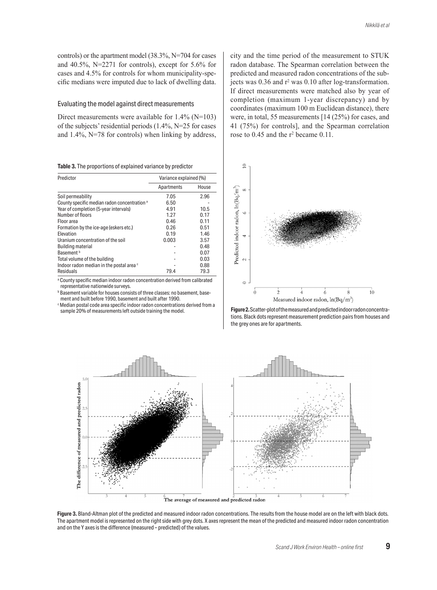controls) or the apartment model (38.3%, N=704 for cases and 40.5%, N=2271 for controls), except for 5.6% for cases and 4.5% for controls for whom municipality-specific medians were imputed due to lack of dwelling data.

#### Evaluating the model against direct measurements

Direct measurements were available for  $1.4\%$  (N=103) of the subjects' residential periods (1.4%, N=25 for cases and 1.4%, N=78 for controls) when linking by address,

| Table 3. The proportions of explained variance by predictor |  |
|-------------------------------------------------------------|--|
|-------------------------------------------------------------|--|

| Predictor                                               | Variance explained (%) |       |  |
|---------------------------------------------------------|------------------------|-------|--|
|                                                         | Apartments             | House |  |
| Soil permeability                                       | 7.05                   | 2.96  |  |
| County specific median radon concentration <sup>a</sup> | 6.50                   |       |  |
| Year of completion (5-year intervals)                   | 4.91                   | 10.5  |  |
| Number of floors                                        | 1.27                   | 0.17  |  |
| Floor area                                              | 0.46                   | 0.11  |  |
| Formation by the ice-age (eskers etc.)                  | 0.26                   | 0.51  |  |
| Elevation                                               | 0.19                   | 1.46  |  |
| Uranium concentration of the soil                       | 0.003                  | 3.57  |  |
| <b>Building material</b>                                |                        | 0.48  |  |
| Basement <sup>b</sup>                                   |                        | 0.07  |  |
| Total volume of the building                            |                        | 0.03  |  |
| Indoor radon median in the postal area c                |                        | 0.88  |  |
| Residuals                                               | 79.4                   | 79.3  |  |

<sup>a</sup> County specific median indoor radon concentration derived from calibrated representative nationwide surveys.

**b** Basement variable for houses consists of three classes: no basement, basement and built before 1990, basement and built after 1990.

c Median postal code area specific indoor radon concentrations derived from a sample 20% of measurements left outside training the model.

city and the time period of the measurement to STUK radon database. The Spearman correlation between the predicted and measured radon concentrations of the subjects was 0.36 and r<sup>2</sup> was 0.10 after log-transformation. If direct measurements were matched also by year of completion (maximum 1-year discrepancy) and by coordinates (maximum 100 m Euclidean distance), there were, in total, 55 measurements [14 (25%) for cases, and 41 (75%) for controls], and the Spearman correlation rose to 0.45 and the r<sup>2</sup> became 0.11.



Figure 2. Scatter-plot of the measured and predicted indoor radon concentrations. Black dots represent measurement prediction pairs from houses and the grey ones are for apartments.



Figure 3. Bland-Altman plot of the predicted and measured indoor radon concentrations. The results from the house model are on the left with black dots. The apartment model is represented on the right side with grey dots. X axes represent the mean of the predicted and measured indoor radon concentration and on the Y axes is the difference (measured – predicted) of the values.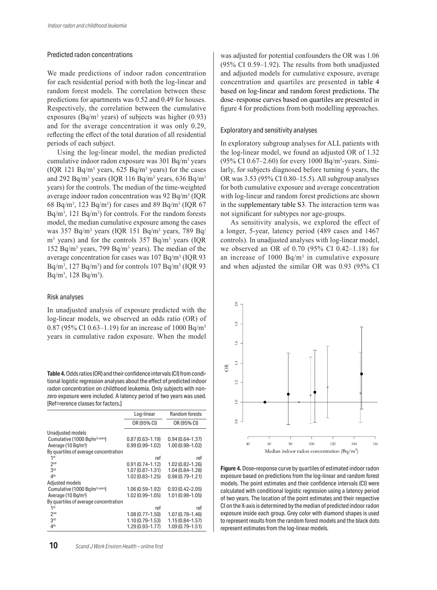#### Predicted radon concentrations

We made predictions of indoor radon concentration for each residential period with both the log-linear and random forest models. The correlation between these predictions for apartments was 0.52 and 0.49 for houses. Respectively, the correlation between the cumulative exposures (Bq/m<sup>3</sup> years) of subjects was higher  $(0.93)$ and for the average concentration it was only 0.29, reflecting the effect of the total duration of all residential periods of each subject.

Using the log-linear model, the median predicted cumulative indoor radon exposure was 301 Bq/m3 years (IQR 121 Bq/m<sup>3</sup> years,  $625$  Bq/m<sup>3</sup> years) for the cases and 292 Bq/m<sup>3</sup> years (IQR 116 Bq/m<sup>3</sup> years, 636 Bq/m<sup>3</sup> years) for the controls. The median of the time-weighted average indoor radon concentration was  $92$  Bq/m<sup>3</sup> (IQR 68 Bq/m<sup>3</sup>, 123 Bq/m<sup>3</sup>) for cases and 89 Bq/m<sup>3</sup> (IQR 67)  $Bq/m<sup>3</sup>$ , 121  $Bq/m<sup>3</sup>$ ) for controls. For the random forests model, the median cumulative exposure among the cases was 357 Bq/m3 years (IQR 151 Bq/m3 years, 789 Bq/  $m<sup>3</sup>$  years) and for the controls 357 Bq/m<sup>3</sup> years (IQR) 152 Bq/m<sup>3</sup> years, 799 Bq/m<sup>3</sup> years). The median of the average concentration for cases was 107 Bq/m3 (IQR 93  $Bq/m^3$ , 127  $Bq/m^3$ ) and for controls 107  $Bq/m^3$  (IQR 93  $Bq/m^3$ , 128  $Bq/m^3$ ).

#### Risk analyses

In unadjusted analysis of exposure predicted with the log-linear models, we observed an odds ratio (OR) of 0.87 (95% CI 0.63–1.19) for an increase of 1000 Bq/m<sup>3</sup> years in cumulative radon exposure. When the model

**Table 4.** Odds ratios (OR) and their confidence intervals (CI) from conditional logistic regression analyses about the effect of predicted indoor radon concentration on childhood leukemia. Only subjects with nonzero exposure were included. A latency period of two years was used. [Ref=rerence classes for factors.]

|                                            | Log-linear          | Random forests      |
|--------------------------------------------|---------------------|---------------------|
|                                            | OR (95% CI)         | OR (95% CI)         |
| Unadjusted models                          |                     |                     |
| Cumulative (1000 Bq/m <sup>3-years</sup> ) | $0.87(0.63 - 1.19)$ | $0.94(0.64 - 1.37)$ |
| Average (10 Bg/m <sup>3</sup> )            | $0.99(0.99 - 1.02)$ | $1.00(0.98 - 1.02)$ |
| By quartiles of average concentration      |                     |                     |
| 1 <sup>st</sup>                            | ref                 | ref                 |
| 2 <sub>nd</sub>                            | $0.91(0.74 - 1.12)$ | 1.02 (0.82-1.26)    |
| 3rd                                        | $1.07(0.87 - 1.31)$ | $1.04(0.84 - 1.28)$ |
| 4 <sup>th</sup>                            | $1.02(0.83 - 1.25)$ | $0.98(0.79 - 1.21)$ |
| Adjusted models                            |                     |                     |
| Cumulative (1000 Bq/m <sup>3-years</sup> ) | $1.06(0.59 - 1.92)$ | $0.93(0.42 - 2.05)$ |
| Average (10 Bg/m <sup>3</sup> )            | $1.02(0.99 - 1.05)$ | $1.01(0.98 - 1.05)$ |
| By quartiles of average concentration      |                     |                     |
| 1 <sup>st</sup>                            | ref                 | ref                 |
| 2 <sub>nd</sub>                            | $1.08(0.77 - 1.50)$ | $1.07(0.78 - 1.46)$ |
| 3rd                                        | $1.10(0.79 - 1.53)$ | $1.15(0.84 - 1.57)$ |
| 4 <sup>th</sup>                            | $1.29(0.93 - 1.77)$ | $1.09(0.79 - 1.51)$ |

was adjusted for potential confounders the OR was 1.06 (95% CI 0.59–1.92). The results from both unadjusted and adjusted models for cumulative exposure, average concentration and quartiles are presented in table 4 based on log-linear and random forest predictions. The dose–response curves based on quartiles are presented in figure 4 for predictions from both modelling approaches.

#### Exploratory and sensitivity analyses

In exploratory subgroup analyses for ALL patients with the log-linear model, we found an adjusted OR of 1.32 (95% CI 0.67–2.60) for every 1000 Bq/m3-years. Similarly, for subjects diagnosed before turning 6 years, the OR was 3.53 (95% CI 0.80–15.5). All subgroup analyses for both cumulative exposure and average concentration with log-linear and random forest predictions are shown in the supplementary table S3. The interaction term was not significant for subtypes nor age-groups.

As sensitivity analysis, we explored the effect of a longer, 5-year, latency period (489 cases and 1467 controls). In unadjusted analyses with log-linear model, we observed an OR of 0.70 (95% CI 0.42–1.18) for an increase of 1000 Bq/m3 in cumulative exposure and when adjusted the similar OR was 0.93 (95% CI



Figure 4. Dose-response curve by quartiles of estimated indoor radon exposure based on predictions from the log-linear and random forest models. The point estimates and their confidence intervals (CI) were calculated with conditional logistic regression using a latency period of two years. The location of the point estimates and their respective CI on the X-axis is determined by the median of predicted indoor radon exposure inside each group. Grey color with diamond shapes is used to represent results from the random forest models and the black dots represent estimates from the log-linear models.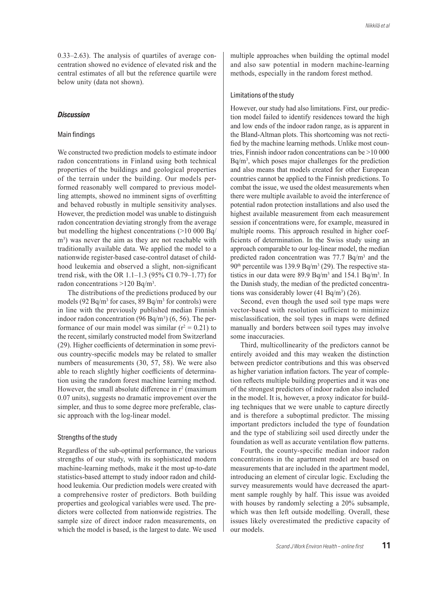0.33–2.63). The analysis of quartiles of average concentration showed no evidence of elevated risk and the central estimates of all but the reference quartile were below unity (data not shown).

## *Discussion*

#### Main findings

We constructed two prediction models to estimate indoor radon concentrations in Finland using both technical properties of the buildings and geological properties of the terrain under the building. Our models performed reasonably well compared to previous modelling attempts, showed no imminent signs of overfitting and behaved robustly in multiple sensitivity analyses. However, the prediction model was unable to distinguish radon concentration deviating strongly from the average but modelling the highest concentrations (>10 000 Bq/ m<sup>3</sup>) was never the aim as they are not reachable with traditionally available data. We applied the model to a nationwide register-based case-control dataset of childhood leukemia and observed a slight, non-significant trend risk, with the OR 1.1–1.3 (95% CI 0.79–1.77) for radon concentrations >120 Bq/m3.

The distributions of the predictions produced by our models (92 Bq/m3 for cases, 89 Bq/m3 for controls) were in line with the previously published median Finnish indoor radon concentration  $(96 Bq/m<sup>3</sup>) (6, 56)$ . The performance of our main model was similar ( $r^2 = 0.21$ ) to the recent, similarly constructed model from Switzerland (29). Higher coefficients of determination in some previous country-specific models may be related to smaller numbers of measurements (30, 57, 58). We were also able to reach slightly higher coefficients of determination using the random forest machine learning method. However, the small absolute difference in  $r^2$  (maximum 0.07 units), suggests no dramatic improvement over the simpler, and thus to some degree more preferable, classic approach with the log-linear model.

## Strengths of the study

Regardless of the sub-optimal performance, the various strengths of our study, with its sophisticated modern machine-learning methods, make it the most up-to-date statistics-based attempt to study indoor radon and childhood leukemia. Our prediction models were created with a comprehensive roster of predictors. Both building properties and geological variables were used. The predictors were collected from nationwide registries. The sample size of direct indoor radon measurements, on which the model is based, is the largest to date. We used multiple approaches when building the optimal model and also saw potential in modern machine-learning methods, especially in the random forest method.

#### Limitations of the study

However, our study had also limitations. First, our prediction model failed to identify residences toward the high and low ends of the indoor radon range, as is apparent in the Bland-Altman plots. This shortcoming was not rectified by the machine learning methods. Unlike most countries, Finnish indoor radon concentrations can be >10 000 Bq/m3, which poses major challenges for the prediction and also means that models created for other European countries cannot be applied to the Finnish predictions. To combat the issue, we used the oldest measurements when there were multiple available to avoid the interference of potential radon protection installations and also used the highest available measurement from each measurement session if concentrations were, for example, measured in multiple rooms. This approach resulted in higher coefficients of determination. In the Swiss study using an approach comparable to our log-linear model, the median predicted radon concentration was 77.7 Bq/m3 and the  $90<sup>th</sup>$  percentile was 139.9 Bq/m<sup>3</sup> (29). The respective statistics in our data were 89.9 Bq/m<sup>3</sup> and 154.1 Bq/m<sup>3</sup>. In the Danish study, the median of the predicted concentrations was considerably lower  $(41 Bq/m<sup>3</sup>)$   $(26)$ .

Second, even though the used soil type maps were vector-based with resolution sufficient to minimize misclassification, the soil types in maps were defined manually and borders between soil types may involve some inaccuracies.

Third, multicollinearity of the predictors cannot be entirely avoided and this may weaken the distinction between predictor contributions and this was observed as higher variation inflation factors. The year of completion reflects multiple building properties and it was one of the strongest predictors of indoor radon also included in the model. It is, however, a proxy indicator for building techniques that we were unable to capture directly and is therefore a suboptimal predictor. The missing important predictors included the type of foundation and the type of stabilizing soil used directly under the foundation as well as accurate ventilation flow patterns.

Fourth, the county-specific median indoor radon concentrations in the apartment model are based on measurements that are included in the apartment model, introducing an element of circular logic. Excluding the survey measurements would have decreased the apartment sample roughly by half. This issue was avoided with houses by randomly selecting a 20% subsample, which was then left outside modelling. Overall, these issues likely overestimated the predictive capacity of our models.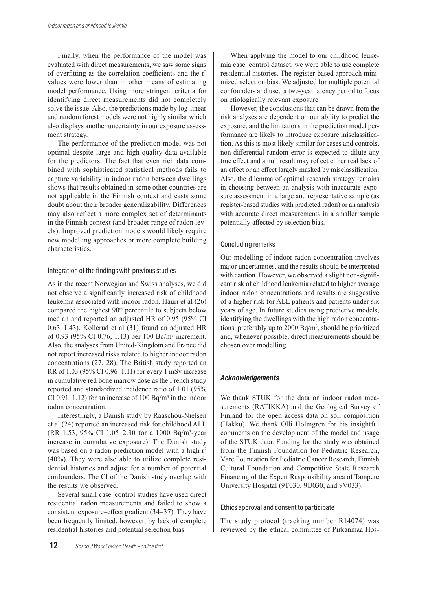Finally, when the performance of the model was evaluated with direct measurements, we saw some signs of overfitting as the correlation coefficients and the  $r^2$ values were lower than in other means of estimating model performance. Using more stringent criteria for identifying direct measurements did not completely solve the issue. Also, the predictions made by log-linear and random forest models were not highly similar which also displays another uncertainty in our exposure assessment strategy.

The performance of the prediction model was not optimal despite large and high-quality data available for the predictors. The fact that even rich data combined with sophisticated statistical methods fails to capture variability in indoor radon between dwellings shows that results obtained in some other countries are not applicable in the Finnish context and casts some doubt about their broader generalizability. Differences may also reflect a more complex set of determinants in the Finnish context (and broader range of radon levels). Improved prediction models would likely require new modelling approaches or more complete building characteristics.

## Integration of the findings with previous studies

As in the recent Norwegian and Swiss analyses, we did not observe a significantly increased risk of childhood leukemia associated with indoor radon. Hauri et al (26) compared the highest 90<sup>th</sup> percentile to subjects below median and reported an adjusted HR of 0.95 (95% CI 0.63–1.43). Kollerud et al (31) found an adjusted HR of 0.93 (95% CI 0.76, 1.13) per 100 Bq/m3 increment. Also, the analyses from United-Kingdom and France did not report increased risks related to higher indoor radon concentrations (27, 28). The British study reported an RR of 1.03 (95% CI 0.96–1.11) for every 1 mSv increase in cumulative red bone marrow dose as the French study reported and standardized incidence ratio of 1.01 (95% CI 0.91–1.12) for an increase of 100 Bq/m<sup>3</sup> in the indoor radon concentration.

Interestingly, a Danish study by Raaschou-Nielsen et al (24) reported an increased risk for childhood ALL (RR 1.53, 95% CI 1.05–2.30 for a 1000 Bq/m3-year increase in cumulative exposure). The Danish study was based on a radon prediction model with a high r<sup>2</sup> (40%). They were also able to utilize complete residential histories and adjust for a number of potential confounders. The CI of the Danish study overlap with the results we observed.

Several small case–control studies have used direct residential radon measurements and failed to show a consistent exposure–effect gradient (34–37). They have been frequently limited, however, by lack of complete residential histories and potential selection bias.

When applying the model to our childhood leukemia case–control dataset, we were able to use complete residential histories. The register-based approach minimized selection bias. We adjusted for multiple potential confounders and used a two-year latency period to focus on etiologically relevant exposure.

However, the conclusions that can be drawn from the risk analyses are dependent on our ability to predict the exposure, and the limitations in the prediction model performance are likely to introduce exposure misclassification. As this is most likely similar for cases and controls, non-differential random error is expected to dilute any true effect and a null result may reflect either real lack of an effect or an effect largely masked by misclassification. Also, the dilemma of optimal research strategy remains in choosing between an analysis with inaccurate exposure assessment in a large and representative sample (as register-based studies with predicted radon) or an analysis with accurate direct measurements in a smaller sample potentially affected by selection bias.

## Concluding remarks

Our modelling of indoor radon concentration involves major uncertainties, and the results should be interpreted with caution. However, we observed a slight non-significant risk of childhood leukemia related to higher average indoor radon concentrations and results are suggestive of a higher risk for ALL patients and patients under six years of age. In future studies using predictive models, identifying the dwellings with the high radon concentrations, preferably up to 2000 Bq/m3, should be prioritized and, whenever possible, direct measurements should be chosen over modelling.

## *Acknowledgements*

We thank STUK for the data on indoor radon measurements (RATIKKA) and the Geological Survey of Finland for the open access data on soil composition (Hakku). We thank Olli Holmgren for his insightful comments on the development of the model and usage of the STUK data. Funding for the study was obtained from the Finnish Foundation for Pediatric Research, Väre Foundation for Pediatric Cancer Research, Finnish Cultural Foundation and Competitive State Research Financing of the Expert Responsibility area of Tampere University Hospital (9T030, 9U030, and 9V033).

## Ethics approval and consent to participate

The study protocol (tracking number R14074) was reviewed by the ethical committee of Pirkanmaa Hos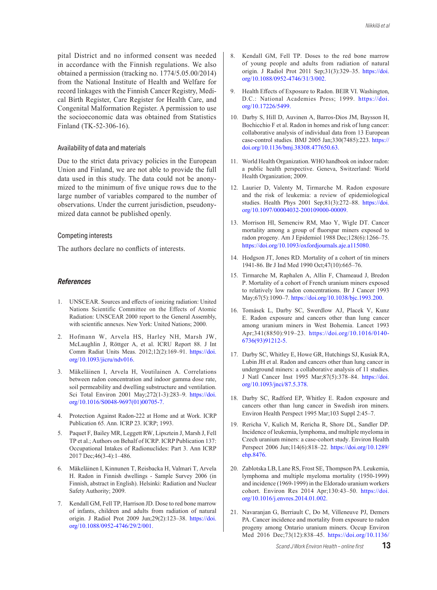pital District and no informed consent was needed in accordance with the Finnish regulations. We also obtained a permission (tracking no. 1774/5.05.00/2014) from the National Institute of Health and Welfare for record linkages with the Finnish Cancer Registry, Medical Birth Register, Care Register for Health Care, and Congenital Malformation Register. A permission to use the socioeconomic data was obtained from Statistics Finland (TK-52-306-16).

### Availability of data and materials

Due to the strict data privacy policies in the European Union and Finland, we are not able to provide the full data used in this study. The data could not be anonymized to the minimum of five unique rows due to the large number of variables compared to the number of observations. Under the current jurisdiction, pseudonymized data cannot be published openly.

#### Competing interests

The authors declare no conflicts of interests.

## *References*

- 1. UNSCEAR. Sources and effects of ionizing radiation: United Nations Scientific Committee on the Effects of Atomic Radiation: UNSCEAR 2000 report to the General Assembly, with scientific annexes. New York: United Nations; 2000.
- 2. Hofmann W, Arvela HS, Harley NH, Marsh JW, McLaughlin J, Röttger A, et al. ICRU Report 88. J Int Comm Radiat Units Meas. 2012;12(2):169–91. https://doi. org/10.1093/jicru/ndv016.
- 3. Mäkeläinen I, Arvela H, Voutilainen A. Correlations between radon concentration and indoor gamma dose rate, soil permeability and dwelling substructure and ventilation. Sci Total Environ 2001 May;272(1-3):283–9. https://doi. org/10.1016/S0048-9697(01)00705-7.
- 4. Protection Against Radon-222 at Home and at Work. ICRP Publication 65. Ann. ICRP 23. ICRP; 1993.
- 5. Paquet F, Bailey MR, Leggett RW, Lipsztein J, Marsh J, Fell TP et al.; Authors on Behalf of ICRP. ICRP Publication 137: Occupational Intakes of Radionuclides: Part 3. Ann ICRP 2017 Dec;46(3-4):1–486.
- 6. Mäkeläinen I, Kinnunen T, Reisbacka H, Valmari T, Arvela H. Radon in Finnish dwellings - Sample Survey 2006 (in Finnish, abstract in English). Helsinki: Radiation and Nuclear Safety Authority; 2009.
- 7. Kendall GM, Fell TP, Harrison JD. Dose to red bone marrow of infants, children and adults from radiation of natural origin. J Radiol Prot 2009 Jun;29(2):123–38. https://doi. org/10.1088/0952-4746/29/2/001.
- 8. Kendall GM, Fell TP. Doses to the red bone marrow of young people and adults from radiation of natural origin. J Radiol Prot 2011 Sep;31(3):329–35. https://doi. org/10.1088/0952-4746/31/3/002.
- 9. Health Effects of Exposure to Radon. BEIR VI. Washington, D.C.: National Academies Press; 1999. https://doi. org/10.17226/5499.
- 10. Darby S, Hill D, Auvinen A, Barros-Dios JM, Baysson H, Bochicchio F et al. Radon in homes and risk of lung cancer: collaborative analysis of individual data from 13 European case-control studies. BMJ 2005 Jan;330(7485):223. https:// doi.org/10.1136/bmj.38308.477650.63.
- 11. World Health Organization. WHO handbook on indoor radon: a public health perspective. Geneva, Switzerland: World Health Organization; 2009.
- 12. Laurier D, Valenty M, Tirmarche M. Radon exposure and the risk of leukemia: a review of epidemiological studies. Health Phys 2001 Sep;81(3):272–88. https://doi. org/10.1097/00004032-200109000-00009.
- 13. Morrison HI, Semenciw RM, Mao Y, Wigle DT. Cancer mortality among a group of fluorspar miners exposed to radon progeny. Am J Epidemiol 1988 Dec;128(6):1266–75. https://doi.org/10.1093/oxfordjournals.aje.a115080.
- 14. Hodgson JT, Jones RD. Mortality of a cohort of tin miners 1941-86. Br J Ind Med 1990 Oct;47(10):665–76.
- 15. Tirmarche M, Raphalen A, Allin F, Chameaud J, Bredon P. Mortality of a cohort of French uranium miners exposed to relatively low radon concentrations. Br J Cancer 1993 May;67(5):1090–7. https://doi.org/10.1038/bjc.1993.200.
- 16. Tomásek L, Darby SC, Swerdlow AJ, Placek V, Kunz E. Radon exposure and cancers other than lung cancer among uranium miners in West Bohemia. Lancet 1993 Apr;341(8850):919–23. https://doi.org/10.1016/0140- 6736(93)91212-5.
- 17. Darby SC, Whitley E, Howe GR, Hutchings SJ, Kusiak RA, Lubin JH et al. Radon and cancers other than lung cancer in underground miners: a collaborative analysis of 11 studies. J Natl Cancer Inst 1995 Mar;87(5):378–84. https://doi. org/10.1093/jnci/87.5.378.
- 18. Darby SC, Radford EP, Whitley E. Radon exposure and cancers other than lung cancer in Swedish iron miners. Environ Health Perspect 1995 Mar;103 Suppl 2:45–7.
- 19. Rericha V, Kulich M, Rericha R, Shore DL, Sandler DP. Incidence of leukemia, lymphoma, and multiple myeloma in Czech uranium miners: a case-cohort study. Environ Health Perspect 2006 Jun;114(6):818–22. https://doi.org/10.1289/ ehp.8476.
- 20. Zablotska LB, Lane RS, Frost SE, Thompson PA. Leukemia, lymphoma and multiple myeloma mortality (1950-1999) and incidence (1969-1999) in the Eldorado uranium workers cohort. Environ Res 2014 Apr;130:43–50. https://doi. org/10.1016/j.envres.2014.01.002.
- 21. Navaranjan G, Berriault C, Do M, Villeneuve PJ, Demers PA. Cancer incidence and mortality from exposure to radon progeny among Ontario uranium miners. Occup Environ Med 2016 Dec;73(12):838–45. https://doi.org/10.1136/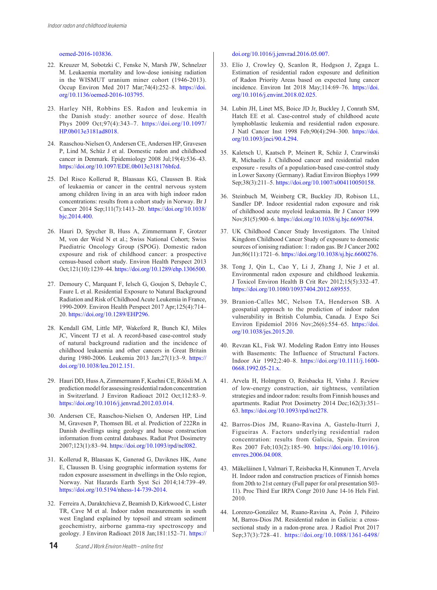#### oemed-2016-103836.

- 22. Kreuzer M, Sobotzki C, Fenske N, Marsh JW, Schnelzer M. Leukaemia mortality and low-dose ionising radiation in the WISMUT uranium miner cohort (1946-2013). Occup Environ Med 2017 Mar;74(4):252–8. https://doi. org/10.1136/oemed-2016-103795.
- 23. Harley NH, Robbins ES. Radon and leukemia in the Danish study: another source of dose. Health Phys 2009 Oct;97(4):343–7. https://doi.org/10.1097/ HP.0b013e3181ad8018.
- 24. Raaschou-Nielsen O, Andersen CE, Andersen HP, Gravesen P, Lind M, Schüz J et al. Domestic radon and childhood cancer in Denmark. Epidemiology 2008 Jul;19(4):536–43. https://doi.org/10.1097/EDE.0b013e318176bfcd.
- 25. Del Risco Kollerud R, Blaasaas KG, Claussen B. Risk of leukaemia or cancer in the central nervous system among children living in an area with high indoor radon concentrations: results from a cohort study in Norway. Br J Cancer 2014 Sep;111(7):1413–20. https://doi.org/10.1038/ bjc.2014.400.
- 26. Hauri D, Spycher B, Huss A, Zimmermann F, Grotzer M, von der Weid N et al.; Swiss National Cohort; Swiss Paediatric Oncology Group (SPOG). Domestic radon exposure and risk of childhood cancer: a prospective census-based cohort study. Environ Health Perspect 2013 Oct;121(10):1239–44. https://doi.org/10.1289/ehp.1306500.
- 27. Demoury C, Marquant F, Ielsch G, Goujon S, Debayle C, Faure L et al. Residential Exposure to Natural Background Radiation and Risk of Childhood Acute Leukemia in France, 1990-2009. Environ Health Perspect 2017 Apr;125(4):714– 20. https://doi.org/10.1289/EHP296.
- 28. Kendall GM, Little MP, Wakeford R, Bunch KJ, Miles JC, Vincent TJ et al. A record-based case-control study of natural background radiation and the incidence of childhood leukaemia and other cancers in Great Britain during 1980-2006. Leukemia 2013 Jan;27(1):3–9. https:// doi.org/10.1038/leu.2012.151.
- 29. Hauri DD, Huss A, Zimmermann F, Kuehni CE, Röösli M. A prediction model for assessing residential radon concentration in Switzerland. J Environ Radioact 2012 Oct;112:83–9. https://doi.org/10.1016/j.jenvrad.2012.03.014.
- 30. Andersen CE, Raaschou-Nielsen O, Andersen HP, Lind M, Gravesen P, Thomsen BL et al. Prediction of 222Rn in Danish dwellings using geology and house construction information from central databases. Radiat Prot Dosimetry 2007;123(1):83–94. https://doi.org/10.1093/rpd/ncl082.
- 31. Kollerud R, Blaasaas K, Ganerød G, Daviknes HK, Aune E, Claussen B. Using geographic information systems for radon exposure assessment in dwellings in the Oslo region, Norway. Nat Hazards Earth Syst Sci 2014;14:739–49. https://doi.org/10.5194/nhess-14-739-2014.
- 32. Ferreira A, Daraktchieva Z, Beamish D, Kirkwood C, Lister TR, Cave M et al. Indoor radon measurements in south west England explained by topsoil and stream sediment geochemistry, airborne gamma-ray spectroscopy and geology. J Environ Radioact 2018 Jan;181:152–71. https://

#### doi.org/10.1016/j.jenvrad.2016.05.007.

- 33. Elío J, Crowley Q, Scanlon R, Hodgson J, Zgaga L. Estimation of residential radon exposure and definition of Radon Priority Areas based on expected lung cancer incidence. Environ Int 2018 May;114:69–76. https://doi. org/10.1016/j.envint.2018.02.025.
- 34. Lubin JH, Linet MS, Boice JD Jr, Buckley J, Conrath SM, Hatch EE et al. Case-control study of childhood acute lymphoblastic leukemia and residential radon exposure. J Natl Cancer Inst 1998 Feb;90(4):294–300. https://doi. org/10.1093/jnci/90.4.294.
- 35. Kaletsch U, Kaatsch P, Meinert R, Schüz J, Czarwinski R, Michaelis J. Childhood cancer and residential radon exposure - results of a population-based case-control study in Lower Saxony (Germany). Radiat Environ Biophys 1999 Sep;38(3):211–5. https://doi.org/10.1007/s004110050158.
- 36. Steinbuch M, Weinberg CR, Buckley JD, Robison LL, Sandler DP. Indoor residential radon exposure and risk of childhood acute myeloid leukaemia. Br J Cancer 1999 Nov;81(5):900–6. https://doi.org/10.1038/sj.bjc.6690784.
- 37. UK Childhood Cancer Study Investigators. The United Kingdom Childhood Cancer Study of exposure to domestic sources of ionising radiation: 1: radon gas. Br J Cancer 2002 Jun;86(11):1721–6. https://doi.org/10.1038/sj.bjc.6600276.
- 38. Tong J, Qin L, Cao Y, Li J, Zhang J, Nie J et al. Environmental radon exposure and childhood leukemia. J Toxicol Environ Health B Crit Rev 2012;15(5):332–47. https://doi.org/10.1080/10937404.2012.689555.
- 39. Branion-Calles MC, Nelson TA, Henderson SB. A geospatial approach to the prediction of indoor radon vulnerability in British Columbia, Canada. J Expo Sci Environ Epidemiol 2016 Nov;26(6):554–65. https://doi. org/10.1038/jes.2015.20.
- 40. Revzan KL, Fisk WJ. Modeling Radon Entry into Houses with Basements: The Influence of Structural Factors. Indoor Air 1992;2:40–8. https://doi.org/10.1111/j.1600- 0668.1992.05-21.x.
- 41. Arvela H, Holmgren O, Reisbacka H, Vinha J. Review of low-energy construction, air tightness, ventilation strategies and indoor radon: results from Finnish houses and apartments. Radiat Prot Dosimetry 2014 Dec;162(3):351– 63. https://doi.org/10.1093/rpd/nct278.
- 42. Barros-Dios JM, Ruano-Ravina A, Gastelu-Iturri J, Figueiras A. Factors underlying residential radon concentration: results from Galicia, Spain. Environ Res 2007 Feb;103(2):185–90. https://doi.org/10.1016/j. envres.2006.04.008.
- 43. Mäkeläinen I, Valmari T, Reisbacka H, Kinnunen T, Arvela H. Indoor radon and construction practices of Finnish homes from 20th to 21st century (Full paper for oral presentation S03- 11). Proc Third Eur IRPA Congr 2010 June 14-16 Hels Finl. 2010.
- 44. Lorenzo-González M, Ruano-Ravina A, Peón J, Piñeiro M, Barros-Dios JM. Residential radon in Galicia: a crosssectional study in a radon-prone area. J Radiol Prot 2017 Sep;37(3):728–41. https://doi.org/10.1088/1361-6498/